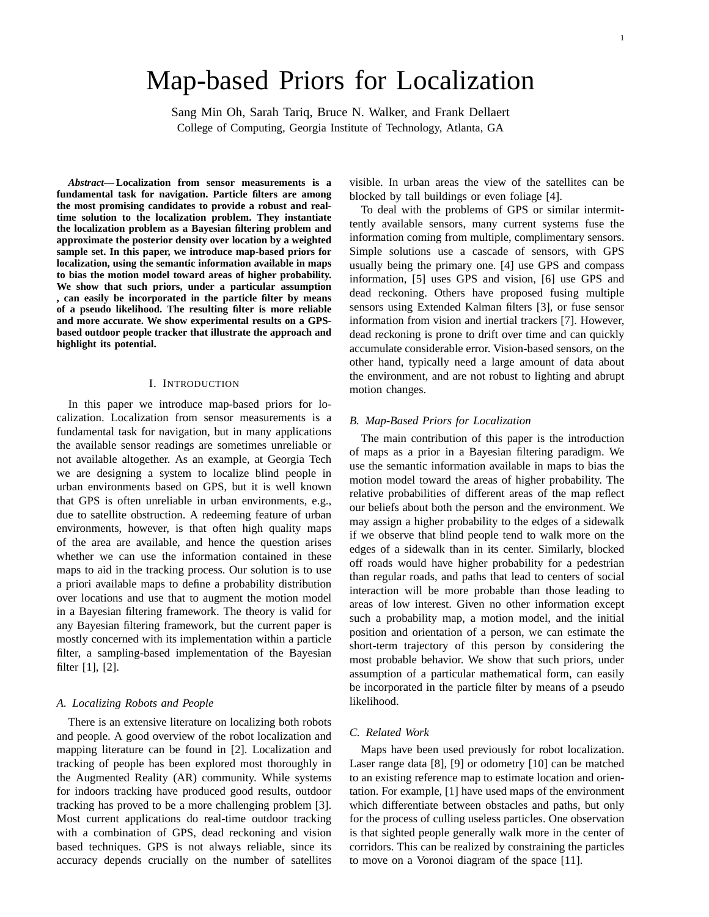# Map-based Priors for Localization

Sang Min Oh, Sarah Tariq, Bruce N. Walker, and Frank Dellaert College of Computing, Georgia Institute of Technology, Atlanta, GA

*Abstract***— Localization from sensor measurements is a fundamental task for navigation. Particle filters are among the most promising candidates to provide a robust and realtime solution to the localization problem. They instantiate the localization problem as a Bayesian filtering problem and approximate the posterior density over location by a weighted sample set. In this paper, we introduce map-based priors for localization, using the semantic information available in maps to bias the motion model toward areas of higher probability. We show that such priors, under a particular assumption , can easily be incorporated in the particle filter by means of a pseudo likelihood. The resulting filter is more reliable and more accurate. We show experimental results on a GPSbased outdoor people tracker that illustrate the approach and highlight its potential.**

#### I. INTRODUCTION

In this paper we introduce map-based priors for localization. Localization from sensor measurements is a fundamental task for navigation, but in many applications the available sensor readings are sometimes unreliable or not available altogether. As an example, at Georgia Tech we are designing a system to localize blind people in urban environments based on GPS, but it is well known that GPS is often unreliable in urban environments, e.g., due to satellite obstruction. A redeeming feature of urban environments, however, is that often high quality maps of the area are available, and hence the question arises whether we can use the information contained in these maps to aid in the tracking process. Our solution is to use a priori available maps to define a probability distribution over locations and use that to augment the motion model in a Bayesian filtering framework. The theory is valid for any Bayesian filtering framework, but the current paper is mostly concerned with its implementation within a particle filter, a sampling-based implementation of the Bayesian filter [1], [2].

#### *A. Localizing Robots and People*

There is an extensive literature on localizing both robots and people. A good overview of the robot localization and mapping literature can be found in [2]. Localization and tracking of people has been explored most thoroughly in the Augmented Reality (AR) community. While systems for indoors tracking have produced good results, outdoor tracking has proved to be a more challenging problem [3]. Most current applications do real-time outdoor tracking with a combination of GPS, dead reckoning and vision based techniques. GPS is not always reliable, since its accuracy depends crucially on the number of satellites visible. In urban areas the view of the satellites can be blocked by tall buildings or even foliage [4].

To deal with the problems of GPS or similar intermittently available sensors, many current systems fuse the information coming from multiple, complimentary sensors. Simple solutions use a cascade of sensors, with GPS usually being the primary one. [4] use GPS and compass information, [5] uses GPS and vision, [6] use GPS and dead reckoning. Others have proposed fusing multiple sensors using Extended Kalman filters [3], or fuse sensor information from vision and inertial trackers [7]. However, dead reckoning is prone to drift over time and can quickly accumulate considerable error. Vision-based sensors, on the other hand, typically need a large amount of data about the environment, and are not robust to lighting and abrupt motion changes.

## *B. Map-Based Priors for Localization*

The main contribution of this paper is the introduction of maps as a prior in a Bayesian filtering paradigm. We use the semantic information available in maps to bias the motion model toward the areas of higher probability. The relative probabilities of different areas of the map reflect our beliefs about both the person and the environment. We may assign a higher probability to the edges of a sidewalk if we observe that blind people tend to walk more on the edges of a sidewalk than in its center. Similarly, blocked off roads would have higher probability for a pedestrian than regular roads, and paths that lead to centers of social interaction will be more probable than those leading to areas of low interest. Given no other information except such a probability map, a motion model, and the initial position and orientation of a person, we can estimate the short-term trajectory of this person by considering the most probable behavior. We show that such priors, under assumption of a particular mathematical form, can easily be incorporated in the particle filter by means of a pseudo likelihood.

# *C. Related Work*

Maps have been used previously for robot localization. Laser range data [8], [9] or odometry [10] can be matched to an existing reference map to estimate location and orientation. For example, [1] have used maps of the environment which differentiate between obstacles and paths, but only for the process of culling useless particles. One observation is that sighted people generally walk more in the center of corridors. This can be realized by constraining the particles to move on a Voronoi diagram of the space [11].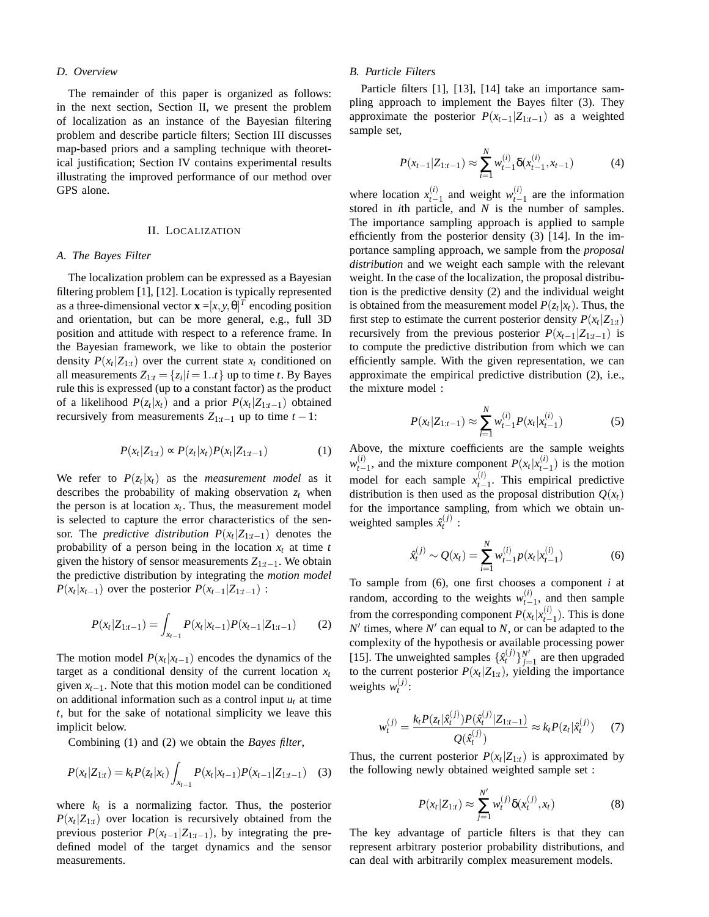### *D. Overview*

The remainder of this paper is organized as follows: in the next section, Section II, we present the problem of localization as an instance of the Bayesian filtering problem and describe particle filters; Section III discusses map-based priors and a sampling technique with theoretical justification; Section IV contains experimental results illustrating the improved performance of our method over GPS alone.

#### II. LOCALIZATION

#### *A. The Bayes Filter*

The localization problem can be expressed as a Bayesian filtering problem [1], [12]. Location is typically represented as a three-dimensional vector  $\mathbf{x} = [x, y, \theta]^T$  encoding position and orientation, but can be more general, e.g., full 3D position and attitude with respect to a reference frame. In the Bayesian framework, we like to obtain the posterior density  $P(x_t|Z_{1:t})$  over the current state  $x_t$  conditioned on all measurements  $Z_{1:t} = \{z_i | i = 1..t\}$  up to time *t*. By Bayes rule this is expressed (up to a constant factor) as the product of a likelihood  $P(z_t|x_t)$  and a prior  $P(x_t|Z_{1:t-1})$  obtained recursively from measurements  $Z_{1:t-1}$  up to time  $t-1$ :

$$
P(x_t|Z_{1:t}) \propto P(z_t|x_t)P(x_t|Z_{1:t-1})
$$
 (1)

We refer to  $P(z_t|x_t)$  as the *measurement model* as it describes the probability of making observation  $z_t$  when the person is at location  $x_t$ . Thus, the measurement model is selected to capture the error characteristics of the sensor. The *predictive distribution*  $P(x_t|Z_{1:t-1})$  denotes the probability of a person being in the location  $x_t$  at time  $t$ given the history of sensor measurements *Z*1:*t*−1. We obtain the predictive distribution by integrating the *motion model*  $P(x_t|x_{t-1})$  over the posterior  $P(x_{t-1}|Z_{1:t-1})$ :

$$
P(x_t|Z_{1:t-1}) = \int_{x_{t-1}} P(x_t|x_{t-1})P(x_{t-1}|Z_{1:t-1})
$$
 (2)

The motion model  $P(x_t|x_{t-1})$  encodes the dynamics of the target as a conditional density of the current location  $x_t$ given  $x_{t-1}$ . Note that this motion model can be conditioned on additional information such as a control input  $u_t$  at time *t*, but for the sake of notational simplicity we leave this implicit below.

Combining (1) and (2) we obtain the *Bayes filter*,

$$
P(x_t|Z_{1:t}) = k_t P(z_t|x_t) \int_{x_{t-1}} P(x_t|x_{t-1}) P(x_{t-1}|Z_{1:t-1}) \quad (3)
$$

where  $k_t$  is a normalizing factor. Thus, the posterior  $P(x_t|Z_{1:t})$  over location is recursively obtained from the previous posterior  $P(x_{t-1} | Z_{1:t-1})$ , by integrating the predefined model of the target dynamics and the sensor measurements.

### *B. Particle Filters*

Particle filters [1], [13], [14] take an importance sampling approach to implement the Bayes filter (3). They approximate the posterior  $P(x_{t-1} | Z_{1:t-1})$  as a weighted sample set,

$$
P(x_{t-1}|Z_{1:t-1}) \approx \sum_{i=1}^{N} w_{t-1}^{(i)} \delta(x_{t-1}^{(i)}, x_{t-1})
$$
 (4)

where location  $x_{t-}^{(i)}$  $\binom{(i)}{t-1}$  and weight  $w_{t-}^{(i)}$  $t_{t-1}^{(t)}$  are the information stored in *i*th particle, and *N* is the number of samples. The importance sampling approach is applied to sample efficiently from the posterior density (3) [14]. In the importance sampling approach, we sample from the *proposal distribution* and we weight each sample with the relevant weight. In the case of the localization, the proposal distribution is the predictive density (2) and the individual weight is obtained from the measurement model  $P(z_t|x_t)$ . Thus, the first step to estimate the current posterior density  $P(x_t|Z_{1:t})$ recursively from the previous posterior  $P(x_{t-1} | Z_{1:t-1})$  is to compute the predictive distribution from which we can efficiently sample. With the given representation, we can approximate the empirical predictive distribution (2), i.e., the mixture model :

$$
P(x_t|Z_{1:t-1}) \approx \sum_{i=1}^{N} w_{t-1}^{(i)} P(x_t|x_{t-1}^{(i)})
$$
 (5)

Above, the mixture coefficients are the sample weights  $w_{t-}^{(i)}$  $P(x_t|x_t^{(i)})$  and the mixture component *P*(*x*<sub>*t*</sub>|*x*<sup>*t*</sup><sub>*t*</sub>−  $(t'_{t-1})$  is the motion model for each sample  $x_{t-}^{(i)}$  $t_{t-1}^{(t)}$ . This empirical predictive distribution is then used as the proposal distribution  $Q(x_t)$ for the importance sampling, from which we obtain unweighted samples  $\hat{x}_t^{(j)}$  :

$$
\hat{x}_t^{(j)} \sim Q(x_t) = \sum_{i=1}^N w_{t-1}^{(i)} p(x_t | x_{t-1}^{(i)})
$$
(6)

To sample from (6), one first chooses a component *i* at random, according to the weights  $w_{t-1}^{(i)}$  $\binom{U}{t-1}$ , and then sample from the corresponding component  $P(x_t|x_t^{(i)})$  $_{t-1}^{(t)}$ ). This is done  $N'$  times, where  $N'$  can equal to  $N$ , or can be adapted to the complexity of the hypothesis or available processing power [15]. The unweighted samples  $\{\hat{x}_t^{(j)}\}_{j=1}^{N'}$  $j=1$  are then upgraded to the current posterior  $P(x_t|Z_{1:t})$ , yielding the importance weights  $w_t^{(j)}$ :

$$
w_t^{(j)} = \frac{k_t P(z_t|\hat{x}_t^{(j)}) P(\hat{x}_t^{(j)}|Z_{1:t-1})}{Q(\hat{x}_t^{(j)})} \approx k_t P(z_t|\hat{x}_t^{(j)}) \tag{7}
$$

Thus, the current posterior  $P(x_t|Z_{1:t})$  is approximated by the following newly obtained weighted sample set :

$$
P(x_t|Z_{1:t}) \approx \sum_{j=1}^{N'} w_t^{(j)} \delta(x_t^{(j)}, x_t)
$$
 (8)

The key advantage of particle filters is that they can represent arbitrary posterior probability distributions, and can deal with arbitrarily complex measurement models.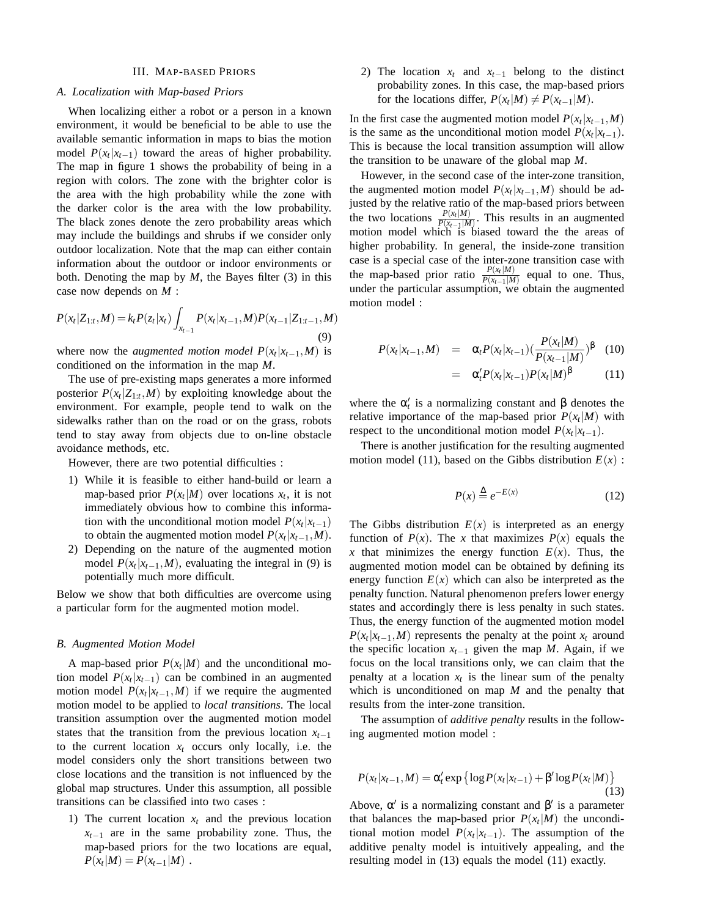## III. MAP-BASED PRIORS

## *A. Localization with Map-based Priors*

When localizing either a robot or a person in a known environment, it would be beneficial to be able to use the available semantic information in maps to bias the motion model  $P(x_t|x_{t-1})$  toward the areas of higher probability. The map in figure 1 shows the probability of being in a region with colors. The zone with the brighter color is the area with the high probability while the zone with the darker color is the area with the low probability. The black zones denote the zero probability areas which may include the buildings and shrubs if we consider only outdoor localization. Note that the map can either contain information about the outdoor or indoor environments or both. Denoting the map by *M*, the Bayes filter (3) in this case now depends on *M* :

$$
P(x_t|Z_{1:t},M) = k_t P(z_t|x_t) \int_{x_{t-1}} P(x_t|x_{t-1},M) P(x_{t-1}|Z_{1:t-1},M)
$$
\n(9)

where now the *augmented motion model*  $P(x_t|x_{t-1},M)$  is conditioned on the information in the map *M*.

The use of pre-existing maps generates a more informed posterior  $P(x_t|Z_{1:t},M)$  by exploiting knowledge about the environment. For example, people tend to walk on the sidewalks rather than on the road or on the grass, robots tend to stay away from objects due to on-line obstacle avoidance methods, etc.

However, there are two potential difficulties :

- 1) While it is feasible to either hand-build or learn a map-based prior  $P(x_t|M)$  over locations  $x_t$ , it is not immediately obvious how to combine this information with the unconditional motion model  $P(x_t|x_{t-1})$ to obtain the augmented motion model  $P(x_t|x_{t-1},M)$ .
- 2) Depending on the nature of the augmented motion model  $P(x_t | x_{t-1}, M)$ , evaluating the integral in (9) is potentially much more difficult.

Below we show that both difficulties are overcome using a particular form for the augmented motion model.

## *B. Augmented Motion Model*

A map-based prior  $P(x_t|M)$  and the unconditional motion model  $P(x_t|x_{t-1})$  can be combined in an augmented motion model  $P(x_t | x_{t-1}, M)$  if we require the augmented motion model to be applied to *local transitions*. The local transition assumption over the augmented motion model states that the transition from the previous location *xt*−<sup>1</sup> to the current location  $x_t$  occurs only locally, i.e. the model considers only the short transitions between two close locations and the transition is not influenced by the global map structures. Under this assumption, all possible transitions can be classified into two cases :

1) The current location  $x_t$  and the previous location  $x_{t-1}$  are in the same probability zone. Thus, the map-based priors for the two locations are equal,  $P(x_t|M) = P(x_{t-1}|M)$ .

2) The location  $x_t$  and  $x_{t-1}$  belong to the distinct probability zones. In this case, the map-based priors for the locations differ,  $P(x_t|M) \neq P(x_{t-1}|M)$ .

In the first case the augmented motion model  $P(x_t|x_{t-1}, M)$ is the same as the unconditional motion model  $P(x_t|x_{t-1})$ . This is because the local transition assumption will allow the transition to be unaware of the global map *M*.

However, in the second case of the inter-zone transition, the augmented motion model  $P(x_t | x_{t-1}, M)$  should be adjusted by the relative ratio of the map-based priors between the two locations  $\frac{P(x_t|M)}{P(x_{t-1}|M)}$  $\frac{P(x_t|M)}{P(x_{t-1}|M)}$ . This results in an augmented motion model which is biased toward the the areas of higher probability. In general, the inside-zone transition case is a special case of the inter-zone transition case with the map-based prior ratio  $\frac{P(x_t|M)}{P(x_{t-1}|M)}$  $\frac{P(x_t|M)}{P(x_{t-1}|M)}$  equal to one. Thus, under the particular assumption, we obtain the augmented motion model :

$$
P(x_t|x_{t-1},M) = \alpha_t P(x_t|x_{t-1}) \left(\frac{P(x_t|M)}{P(x_{t-1}|M)}\right)^{\beta}
$$
 (10)

$$
= \alpha'_{t} P(x_t | x_{t-1}) P(x_t | M)^{\beta} \qquad (11)
$$

where the  $\alpha'_t$  is a normalizing constant and  $\beta$  denotes the relative importance of the map-based prior  $P(x_t|M)$  with respect to the unconditional motion model  $P(x_t|x_{t-1})$ .

There is another justification for the resulting augmented motion model (11), based on the Gibbs distribution  $E(x)$ :

$$
P(x) \stackrel{\Delta}{=} e^{-E(x)} \tag{12}
$$

The Gibbs distribution  $E(x)$  is interpreted as an energy function of  $P(x)$ . The *x* that maximizes  $P(x)$  equals the x that minimizes the energy function  $E(x)$ . Thus, the augmented motion model can be obtained by defining its energy function  $E(x)$  which can also be interpreted as the penalty function. Natural phenomenon prefers lower energy states and accordingly there is less penalty in such states. Thus, the energy function of the augmented motion model  $P(x_t | x_{t-1}, M)$  represents the penalty at the point  $x_t$  around the specific location  $x_{t-1}$  given the map *M*. Again, if we focus on the local transitions only, we can claim that the penalty at a location  $x_t$  is the linear sum of the penalty which is unconditioned on map *M* and the penalty that results from the inter-zone transition.

The assumption of *additive penalty* results in the following augmented motion model :

$$
P(x_t|x_{t-1},M) = \alpha'_t \exp\left\{\log P(x_t|x_{t-1}) + \beta' \log P(x_t|M)\right\}
$$
\n(13)

Above,  $\alpha'$  is a normalizing constant and  $\beta'$  is a parameter that balances the map-based prior  $P(x_t|M)$  the unconditional motion model  $P(x_t|x_{t-1})$ . The assumption of the additive penalty model is intuitively appealing, and the resulting model in (13) equals the model (11) exactly.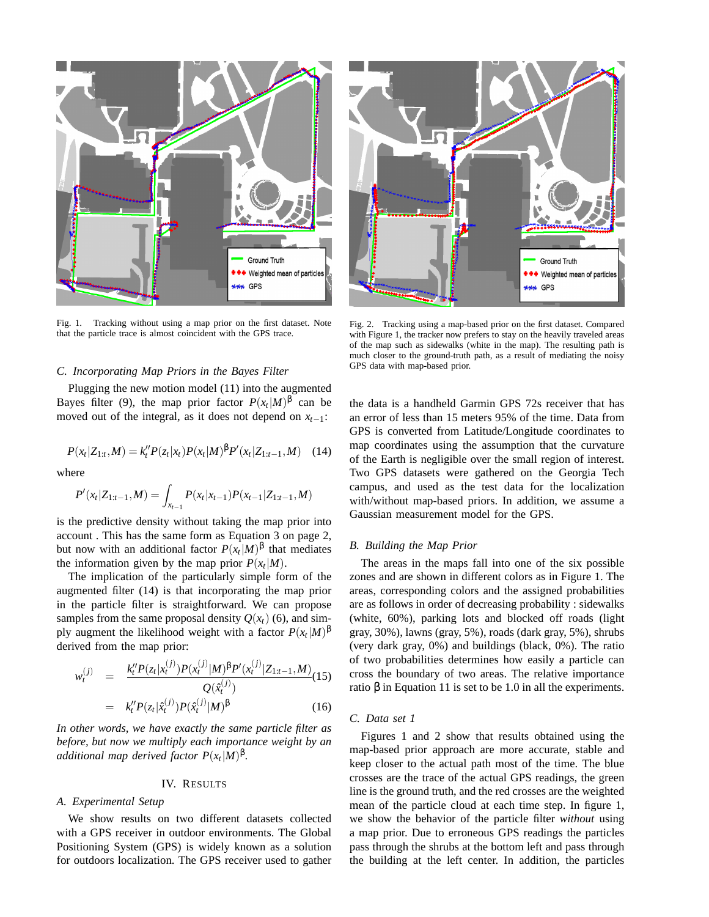

Fig. 1. Tracking without using a map prior on the first dataset. Note that the particle trace is almost coincident with the GPS trace.

#### *C. Incorporating Map Priors in the Bayes Filter*

Plugging the new motion model (11) into the augmented Bayes filter (9), the map prior factor  $P(x_t|M)^{\beta}$  can be moved out of the integral, as it does not depend on *xt*−1:

$$
P(x_t|Z_{1:t},M) = k_t''P(z_t|x_t)P(x_t|M)^{\beta}P'(x_t|Z_{1:t-1},M)
$$
 (14)

where

$$
P'(x_t|Z_{1:t-1},M) = \int_{x_{t-1}} P(x_t|x_{t-1})P(x_{t-1}|Z_{1:t-1},M)
$$

is the predictive density without taking the map prior into account . This has the same form as Equation 3 on page 2, but now with an additional factor  $P(x_t|M)^{\beta}$  that mediates the information given by the map prior  $P(x_t|M)$ .

The implication of the particularly simple form of the augmented filter (14) is that incorporating the map prior in the particle filter is straightforward. We can propose samples from the same proposal density  $Q(x_t)$  (6), and simply augment the likelihood weight with a factor  $P(x_t|M)^\beta$ derived from the map prior:

$$
w_t^{(j)} = \frac{k_t'' P(z_t | x_t^{(j)}) P(x_t^{(j)} | M)^{\beta} P'(x_t^{(j)} | Z_{1:t-1}, M)}{Q(\hat{x}_t^{(j)})}
$$
  

$$
= k_t'' P(z_t | \hat{x}_t^{(j)}) P(\hat{x}_t^{(j)} | M)^{\beta}
$$
(16)

*In other words, we have exactly the same particle filter as before, but now we multiply each importance weight by an*  $a$ *dditional map derived factor*  $P(x_t|M)^{\beta}$ *.* 

# IV. RESULTS

# *A. Experimental Setup*

We show results on two different datasets collected with a GPS receiver in outdoor environments. The Global Positioning System (GPS) is widely known as a solution for outdoors localization. The GPS receiver used to gather



Fig. 2. Tracking using a map-based prior on the first dataset. Compared with Figure 1, the tracker now prefers to stay on the heavily traveled areas of the map such as sidewalks (white in the map). The resulting path is much closer to the ground-truth path, as a result of mediating the noisy GPS data with map-based prior.

the data is a handheld Garmin GPS 72s receiver that has an error of less than 15 meters 95% of the time. Data from GPS is converted from Latitude/Longitude coordinates to map coordinates using the assumption that the curvature of the Earth is negligible over the small region of interest. Two GPS datasets were gathered on the Georgia Tech campus, and used as the test data for the localization with/without map-based priors. In addition, we assume a Gaussian measurement model for the GPS.

# *B. Building the Map Prior*

The areas in the maps fall into one of the six possible zones and are shown in different colors as in Figure 1. The areas, corresponding colors and the assigned probabilities are as follows in order of decreasing probability : sidewalks (white, 60%), parking lots and blocked off roads (light gray, 30%), lawns (gray, 5%), roads (dark gray, 5%), shrubs (very dark gray, 0%) and buildings (black, 0%). The ratio of two probabilities determines how easily a particle can cross the boundary of two areas. The relative importance ratio β in Equation 11 is set to be 1.0 in all the experiments.

# *C. Data set 1*

Figures 1 and 2 show that results obtained using the map-based prior approach are more accurate, stable and keep closer to the actual path most of the time. The blue crosses are the trace of the actual GPS readings, the green line is the ground truth, and the red crosses are the weighted mean of the particle cloud at each time step. In figure 1, we show the behavior of the particle filter *without* using a map prior. Due to erroneous GPS readings the particles pass through the shrubs at the bottom left and pass through the building at the left center. In addition, the particles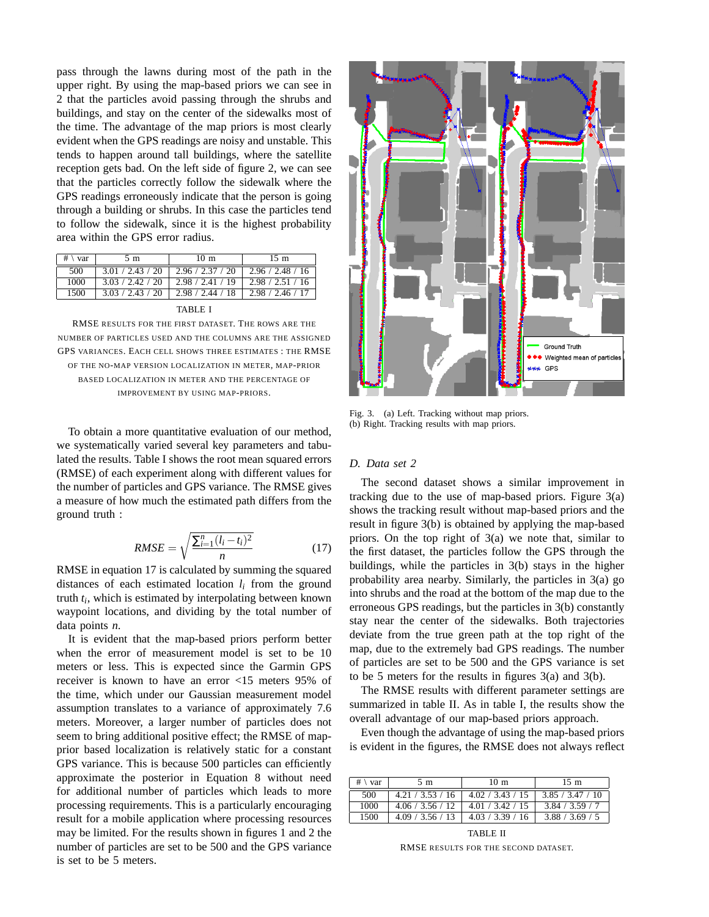pass through the lawns during most of the path in the upper right. By using the map-based priors we can see in 2 that the particles avoid passing through the shrubs and buildings, and stay on the center of the sidewalks most of the time. The advantage of the map priors is most clearly evident when the GPS readings are noisy and unstable. This tends to happen around tall buildings, where the satellite reception gets bad. On the left side of figure 2, we can see that the particles correctly follow the sidewalk where the GPS readings erroneously indicate that the person is going through a building or shrubs. In this case the particles tend to follow the sidewalk, since it is the highest probability area within the GPS error radius.

| # \ var | 5 m              | 10 <sub>m</sub>                          | $15 \text{ m}$   |
|---------|------------------|------------------------------------------|------------------|
| 500     | 3.01 / 2.43 / 20 | $2.96 / 2.37 / 20 \div 2.96 / 2.48 / 16$ |                  |
| 1000    | 3.03 / 2.42 / 20 | 2.98 / 2.41 / 19                         | 2.98 / 2.51 / 16 |
| 1500    | 3.03 / 2.43 / 20 | $2.98 / 2.44 / 18$   2.98 / 2.46 / 17    |                  |
|         |                  |                                          |                  |

RMSE RESULTS FOR THE FIRST DATASET. THE ROWS ARE THE NUMBER OF PARTICLES USED AND THE COLUMNS ARE THE ASSIGNED GPS VARIANCES. EACH CELL SHOWS THREE ESTIMATES : THE RMSE OF THE NO-MAP VERSION LOCALIZATION IN METER, MAP-PRIOR BASED LOCALIZATION IN METER AND THE PERCENTAGE OF IMPROVEMENT BY USING MAP-PRIORS.

To obtain a more quantitative evaluation of our method, we systematically varied several key parameters and tabulated the results. Table I shows the root mean squared errors (RMSE) of each experiment along with different values for the number of particles and GPS variance. The RMSE gives a measure of how much the estimated path differs from the ground truth :

$$
RMSE = \sqrt{\frac{\sum_{i=1}^{n} (l_i - t_i)^2}{n}}
$$
 (17)

RMSE in equation 17 is calculated by summing the squared distances of each estimated location *l<sup>i</sup>* from the ground truth *t<sup>i</sup>* , which is estimated by interpolating between known waypoint locations, and dividing by the total number of data points *n*.

It is evident that the map-based priors perform better when the error of measurement model is set to be 10 meters or less. This is expected since the Garmin GPS receiver is known to have an error <15 meters 95% of the time, which under our Gaussian measurement model assumption translates to a variance of approximately 7.6 meters. Moreover, a larger number of particles does not seem to bring additional positive effect; the RMSE of mapprior based localization is relatively static for a constant GPS variance. This is because 500 particles can efficiently approximate the posterior in Equation 8 without need for additional number of particles which leads to more processing requirements. This is a particularly encouraging result for a mobile application where processing resources may be limited. For the results shown in figures 1 and 2 the number of particles are set to be 500 and the GPS variance is set to be 5 meters.



Fig. 3. (a) Left. Tracking without map priors. (b) Right. Tracking results with map priors.

# *D. Data set 2*

The second dataset shows a similar improvement in tracking due to the use of map-based priors. Figure 3(a) shows the tracking result without map-based priors and the result in figure 3(b) is obtained by applying the map-based priors. On the top right of 3(a) we note that, similar to the first dataset, the particles follow the GPS through the buildings, while the particles in 3(b) stays in the higher probability area nearby. Similarly, the particles in 3(a) go into shrubs and the road at the bottom of the map due to the erroneous GPS readings, but the particles in 3(b) constantly stay near the center of the sidewalks. Both trajectories deviate from the true green path at the top right of the map, due to the extremely bad GPS readings. The number of particles are set to be 500 and the GPS variance is set to be 5 meters for the results in figures 3(a) and 3(b).

The RMSE results with different parameter settings are summarized in table II. As in table I, the results show the overall advantage of our map-based priors approach.

Even though the advantage of using the map-based priors is evident in the figures, the RMSE does not always reflect

| # \ var | 5 m              | 10 <sub>m</sub>  | $15 \text{ m}$   |
|---------|------------------|------------------|------------------|
| 500     | 4.21 / 3.53 / 16 | 4.02 / 3.43 / 15 | 3.85 / 3.47 / 10 |
| 1000    | 4.06 / 3.56 / 12 | 4.01 / 3.42 / 15 | 3.84 / 3.59 / 7  |
| 1500    | 4.09 / 3.56 / 13 | 4.03 / 3.39 / 16 | 3.88 / 3.69 / 5  |

TABLE II RMSE RESULTS FOR THE SECOND DATASET.